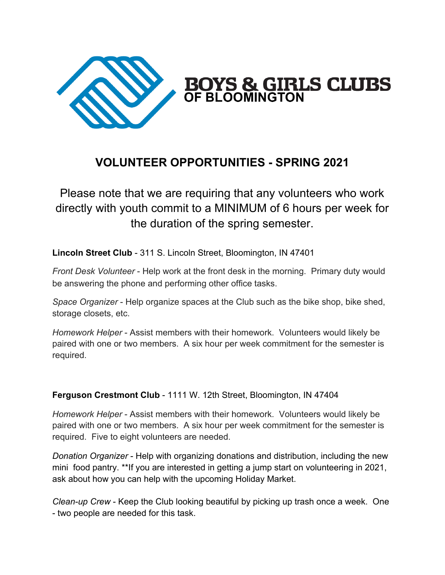

## **VOLUNTEER OPPORTUNITIES - SPRING 2021**

Please note that we are requiring that any volunteers who work directly with youth commit to a MINIMUM of 6 hours per week for the duration of the spring semester.

**Lincoln Street Club** - 311 S. Lincoln Street, Bloomington, IN 47401

*Front Desk Volunteer* - Help work at the front desk in the morning. Primary duty would be answering the phone and performing other office tasks.

*Space Organizer* - Help organize spaces at the Club such as the bike shop, bike shed, storage closets, etc.

*Homework Helper* - Assist members with their homework. Volunteers would likely be paired with one or two members. A six hour per week commitment for the semester is required.

## **Ferguson Crestmont Club** - 1111 W. 12th Street, Bloomington, IN 47404

*Homework Helper* - Assist members with their homework. Volunteers would likely be paired with one or two members. A six hour per week commitment for the semester is required. Five to eight volunteers are needed.

*Donation Organizer* - Help with organizing donations and distribution, including the new mini food pantry. \*\*If you are interested in getting a jump start on volunteering in 2021, ask about how you can help with the upcoming Holiday Market.

*Clean-up Crew* - Keep the Club looking beautiful by picking up trash once a week. One - two people are needed for this task.